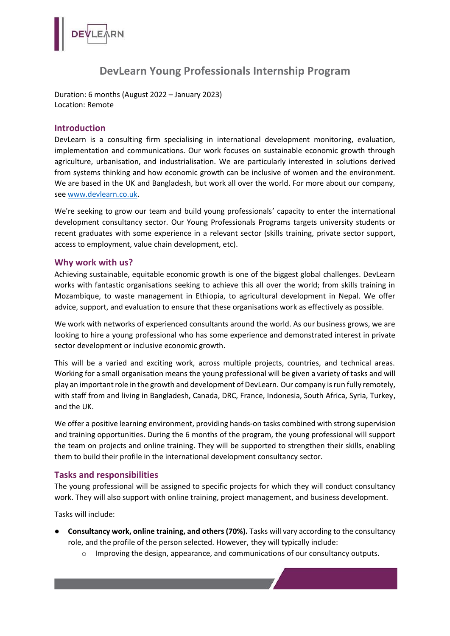

# **DevLearn Young Professionals Internship Program**

Duration: 6 months (August 2022 – January 2023) Location: Remote

# **Introduction**

DevLearn is a consulting firm specialising in international development monitoring, evaluation, implementation and communications. Our work focuses on sustainable economic growth through agriculture, urbanisation, and industrialisation. We are particularly interested in solutions derived from systems thinking and how economic growth can be inclusive of women and the environment. We are based in the UK and Bangladesh, but work all over the world. For more about our company, se[e www.devlearn.co.uk.](http://www.devlearn.co.uk/)

We're seeking to grow our team and build young professionals' capacity to enter the international development consultancy sector. Our Young Professionals Programs targets university students or recent graduates with some experience in a relevant sector (skills training, private sector support, access to employment, value chain development, etc).

### **Why work with us?**

Achieving sustainable, equitable economic growth is one of the biggest global challenges. DevLearn works with fantastic organisations seeking to achieve this all over the world; from skills training in Mozambique, to waste management in Ethiopia, to agricultural development in Nepal. We offer advice, support, and evaluation to ensure that these organisations work as effectively as possible.

We work with networks of experienced consultants around the world. As our business grows, we are looking to hire a young professional who has some experience and demonstrated interest in private sector development or inclusive economic growth.

This will be a varied and exciting work, across multiple projects, countries, and technical areas. Working for a small organisation means the young professional will be given a variety of tasks and will play an important role in the growth and development of DevLearn. Our company is run fully remotely, with staff from and living in Bangladesh, Canada, DRC, France, Indonesia, South Africa, Syria, Turkey, and the UK.

We offer a positive learning environment, providing hands-on tasks combined with strong supervision and training opportunities. During the 6 months of the program, the young professional will support the team on projects and online training. They will be supported to strengthen their skills, enabling them to build their profile in the international development consultancy sector.

# **Tasks and responsibilities**

The young professional will be assigned to specific projects for which they will conduct consultancy work. They will also support with online training, project management, and business development.

Tasks will include:

- **Consultancy work, online training, and others (70%).** Tasks will vary according to the consultancy role, and the profile of the person selected. However, they will typically include:
	- o Improving the design, appearance, and communications of our consultancy outputs.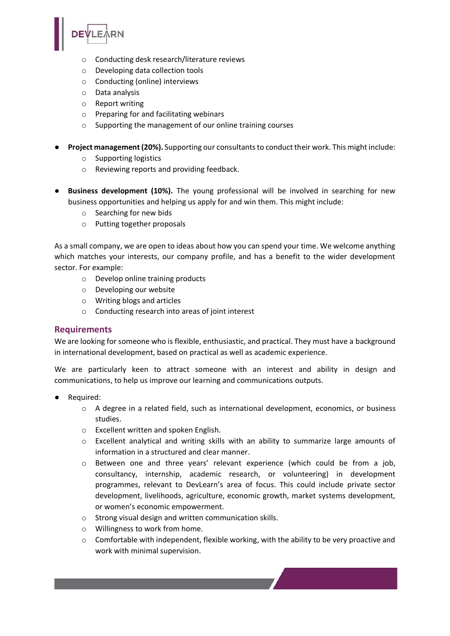

- o Developing data collection tools
- o Conducting (online) interviews
- o Data analysis
- o Report writing
- o Preparing for and facilitating webinars
- o Supporting the management of our online training courses
- **Project management(20%).** Supporting our consultants to conduct their work. This might include:
	- o Supporting logistics
	- o Reviewing reports and providing feedback.
- **Business development (10%).** The young professional will be involved in searching for new business opportunities and helping us apply for and win them. This might include:
	- o Searching for new bids
	- o Putting together proposals

As a small company, we are open to ideas about how you can spend your time. We welcome anything which matches your interests, our company profile, and has a benefit to the wider development sector. For example:

- o Develop online training products
- o Developing our website
- o Writing blogs and articles
- o Conducting research into areas of joint interest

# **Requirements**

We are looking for someone who is flexible, enthusiastic, and practical. They must have a background in international development, based on practical as well as academic experience.

We are particularly keen to attract someone with an interest and ability in design and communications, to help us improve our learning and communications outputs.

- Required:
	- o A degree in a related field, such as international development, economics, or business studies.
	- o Excellent written and spoken English.
	- o Excellent analytical and writing skills with an ability to summarize large amounts of information in a structured and clear manner.
	- o Between one and three years' relevant experience (which could be from a job, consultancy, internship, academic research, or volunteering) in development programmes, relevant to DevLearn's area of focus. This could include private sector development, livelihoods, agriculture, economic growth, market systems development, or women's economic empowerment.
	- o Strong visual design and written communication skills.
	- o Willingness to work from home.
	- $\circ$  Comfortable with independent, flexible working, with the ability to be very proactive and work with minimal supervision.